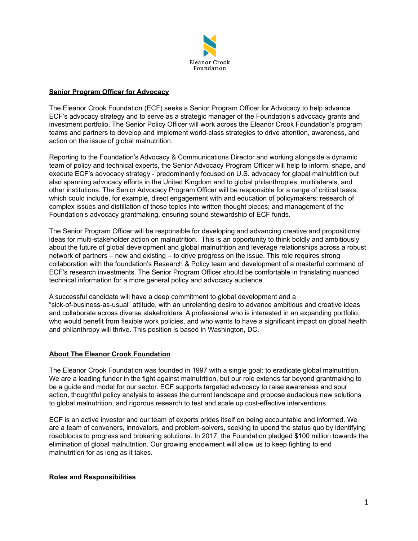

### **Senior Program Officer for Advocacy**

The Eleanor Crook Foundation (ECF) seeks a Senior Program Officer for Advocacy to help advance ECF's advocacy strategy and to serve as a strategic manager of the Foundation's advocacy grants and investment portfolio. The Senior Policy Officer will work across the Eleanor Crook Foundation's program teams and partners to develop and implement world-class strategies to drive attention, awareness, and action on the issue of global malnutrition.

Reporting to the Foundation's Advocacy & Communications Director and working alongside a dynamic team of policy and technical experts, the Senior Advocacy Program Officer will help to inform, shape, and execute ECF's advocacy strategy - predominantly focused on U.S. advocacy for global malnutrition but also spanning advocacy efforts in the United Kingdom and to global philanthropies, multilaterals, and other institutions. The Senior Advocacy Program Officer will be responsible for a range of critical tasks, which could include, for example, direct engagement with and education of policymakers; research of complex issues and distillation of those topics into written thought pieces; and management of the Foundation's advocacy grantmaking, ensuring sound stewardship of ECF funds.

The Senior Program Officer will be responsible for developing and advancing creative and propositional ideas for multi-stakeholder action on malnutrition. This is an opportunity to think boldly and ambitiously about the future of global development and global malnutrition and leverage relationships across a robust network of partners – new and existing – to drive progress on the issue. This role requires strong collaboration with the foundation's Research & Policy team and development of a masterful command of ECF's research investments. The Senior Program Officer should be comfortable in translating nuanced technical information for a more general policy and advocacy audience.

A successful candidate will have a deep commitment to global development and a "sick-of-business-as-usual" attitude, with an unrelenting desire to advance ambitious and creative ideas and collaborate across diverse stakeholders. A professional who is interested in an expanding portfolio, who would benefit from flexible work policies, and who wants to have a significant impact on global health and philanthropy will thrive. This position is based in Washington, DC.

#### **About The Eleanor Crook Foundation**

The Eleanor Crook Foundation was founded in 1997 with a single goal: to eradicate global malnutrition. We are a leading funder in the fight against malnutrition, but our role extends far beyond grantmaking to be a guide and model for our sector. ECF supports targeted advocacy to raise awareness and spur action, thoughtful policy analysis to assess the current landscape and propose audacious new solutions to global malnutrition, and rigorous research to test and scale up cost-effective interventions.

ECF is an active investor and our team of experts prides itself on being accountable and informed. We are a team of conveners, innovators, and problem-solvers, seeking to upend the status quo by identifying roadblocks to progress and brokering solutions. In 2017, the Foundation pledged \$100 million towards the elimination of global malnutrition. Our growing endowment will allow us to keep fighting to end malnutrition for as long as it takes.

## **Roles and Responsibilities**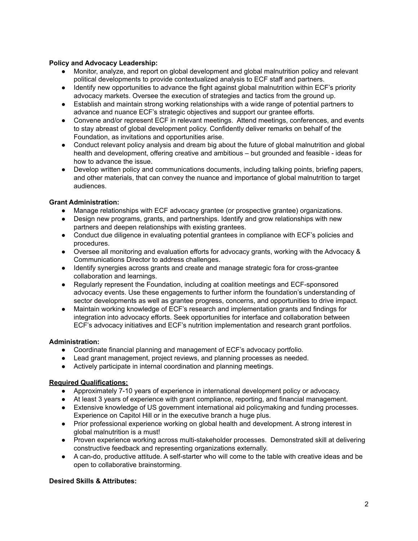## **Policy and Advocacy Leadership:**

- Monitor, analyze, and report on global development and global malnutrition policy and relevant political developments to provide contextualized analysis to ECF staff and partners.
- Identify new opportunities to advance the fight against global malnutrition within ECF's priority advocacy markets. Oversee the execution of strategies and tactics from the ground up.
- Establish and maintain strong working relationships with a wide range of potential partners to advance and nuance ECF's strategic objectives and support our grantee efforts.
- Convene and/or represent ECF in relevant meetings. Attend meetings, conferences, and events to stay abreast of global development policy. Confidently deliver remarks on behalf of the Foundation, as invitations and opportunities arise.
- Conduct relevant policy analysis and dream big about the future of global malnutrition and global health and development, offering creative and ambitious – but grounded and feasible - ideas for how to advance the issue.
- Develop written policy and communications documents, including talking points, briefing papers, and other materials, that can convey the nuance and importance of global malnutrition to target audiences.

## **Grant Administration:**

- Manage relationships with ECF advocacy grantee (or prospective grantee) organizations.
- Design new programs, grants, and partnerships. Identify and grow relationships with new partners and deepen relationships with existing grantees.
- Conduct due diligence in evaluating potential grantees in compliance with ECF's policies and procedures.
- Oversee all monitoring and evaluation efforts for advocacy grants, working with the Advocacy & Communications Director to address challenges.
- Identify synergies across grants and create and manage strategic fora for cross-grantee collaboration and learnings.
- Regularly represent the Foundation, including at coalition meetings and ECF-sponsored advocacy events. Use these engagements to further inform the foundation's understanding of sector developments as well as grantee progress, concerns, and opportunities to drive impact.
- Maintain working knowledge of ECF's research and implementation grants and findings for integration into advocacy efforts. Seek opportunities for interface and collaboration between ECF's advocacy initiatives and ECF's nutrition implementation and research grant portfolios.

# **Administration:**

- Coordinate financial planning and management of ECF's advocacy portfolio.
- Lead grant management, project reviews, and planning processes as needed.
- Actively participate in internal coordination and planning meetings.

# **Required Qualifications:**

- **●** Approximately 7-10 years of experience in international development policy or advocacy.
- **●** At least 3 years of experience with grant compliance, reporting, and financial management.
- Extensive knowledge of US government international aid policymaking and funding processes. Experience on Capitol Hill or in the executive branch a huge plus.
- Prior professional experience working on global health and development. A strong interest in global malnutrition is a must!
- Proven experience working across multi-stakeholder processes. Demonstrated skill at delivering constructive feedback and representing organizations externally.
- A can-do, productive attitude. A self-starter who will come to the table with creative ideas and be open to collaborative brainstorming.

# **Desired Skills & Attributes:**